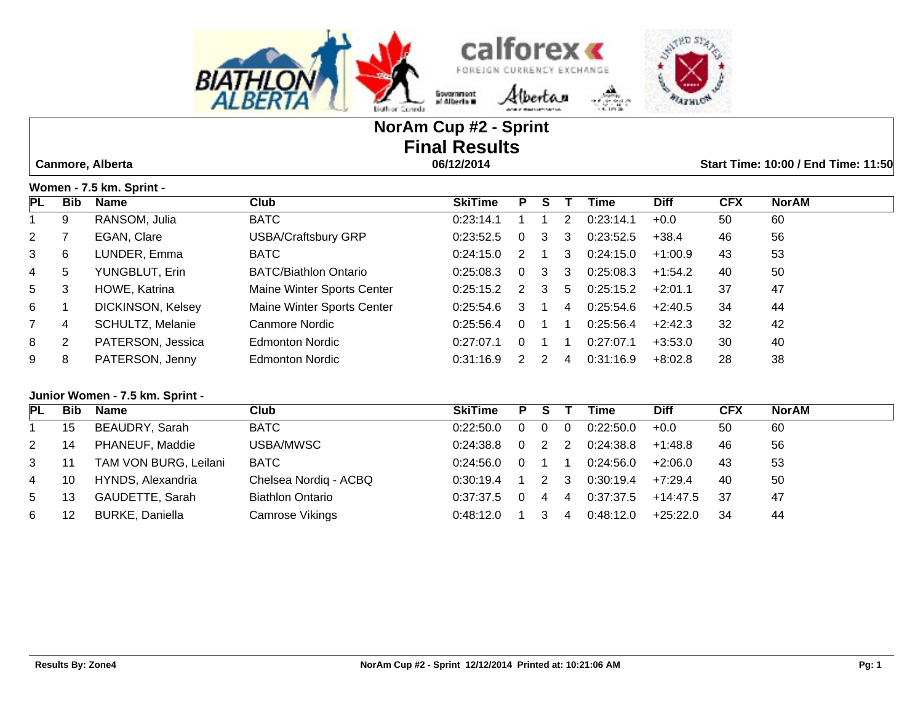



# **NorAm Cup #2 - Sprint Final Results Canmore, Alberta 06/12/2014 Start Time: 10:00 / End Time: 11:50**

|                | Women - 7.5 km. Sprint - |                   |                              |                |          |               |               |           |             |            |              |  |  |
|----------------|--------------------------|-------------------|------------------------------|----------------|----------|---------------|---------------|-----------|-------------|------------|--------------|--|--|
| PL             | <b>Bib</b>               | <b>Name</b>       | Club                         | <b>SkiTime</b> | Р        | S             |               | Time      | <b>Diff</b> | <b>CFX</b> | <b>NorAM</b> |  |  |
|                | 9                        | RANSOM, Julia     | <b>BATC</b>                  | 0:23:14.1      |          |               | $\mathcal{P}$ | 0:23:14.1 | $+0.0$      | 50         | 60           |  |  |
| $2^{\circ}$    |                          | EGAN, Clare       | <b>USBA/Craftsbury GRP</b>   | 0:23:52.5      | $\Omega$ | 3             | 3             | 0:23:52.5 | $+38.4$     | 46         | 56           |  |  |
| $\mathbf{3}$   | 6                        | LUNDER, Emma      | <b>BATC</b>                  | 0:24:15.0      | 2        |               | 3             | 0:24:15.0 | $+1:00.9$   | 43         | 53           |  |  |
| 4              | 5                        | YUNGBLUT, Erin    | <b>BATC/Biathlon Ontario</b> | 0:25:08.3      | $\Omega$ | 3             | 3             | 0:25:08.3 | $+1:54.2$   | 40         | 50           |  |  |
| 5 <sup>5</sup> | 3                        | HOWE, Katrina     | Maine Winter Sports Center   | 0:25:15.2      | 2        | 3             | 5             | 0:25:15.2 | $+2:01.1$   | 37         | 47           |  |  |
| 6              |                          | DICKINSON, Kelsey | Maine Winter Sports Center   | 0:25:54.6      | 3        |               | 4             | 0:25:54.6 | $+2:40.5$   | 34         | 44           |  |  |
| $7^{\circ}$    | 4                        | SCHULTZ, Melanie  | Canmore Nordic               | 0:25:56.4      | $\Omega$ |               |               | 0:25:56.4 | $+2:42.3$   | 32         | 42           |  |  |
| 8              | 2                        | PATERSON, Jessica | <b>Edmonton Nordic</b>       | 0:27:07.1      |          |               |               | 0:27:07.1 | $+3:53.0$   | 30         | 40           |  |  |
| 9              | 8                        | PATERSON, Jenny   | Edmonton Nordic              | 0:31:16.9      |          | $\mathcal{P}$ | 4             | 0:31:16.9 | $+8.02.8$   | 28         | 38           |  |  |

### **Junior Women - 7.5 km. Sprint -**

| PL | <b>Bib</b> | Name                   | Club                    | <b>SkiTime</b> | P | <b>S</b> |    | Time      | <b>Diff</b> | <b>CFX</b> | NorAM |
|----|------------|------------------------|-------------------------|----------------|---|----------|----|-----------|-------------|------------|-------|
|    | 15         | BEAUDRY, Sarah         | BATC                    | 0:22:50.0      |   |          |    | 0:22:50.0 | $+0.0$      | 50         | 60    |
| 2  | 14         | PHANEUF, Maddie        | USBA/MWSC               | 0.24.38.8      |   |          |    | 0:24:38.8 | $+1:48.8$   | 46         | 56    |
| 3  | 11         | TAM VON BURG, Leilani  | <b>BATC</b>             | 0.24:56.0      |   |          |    | 0:24:56.0 | $+2:06.0$   | 43         | 53    |
| 4  | 10         | HYNDS, Alexandria      | Chelsea Nordig - ACBQ   | 0:30:19.4      |   |          | -3 | 0:30:19.4 | $+7.29.4$   | 40         | 50    |
| 5  | 13         | GAUDETTE, Sarah        | <b>Biathlon Ontario</b> | 0:37:37.5      |   | 4        | 4  | 0:37:37.5 | +14:47.5    | 37         | 47    |
| 6  | 12         | <b>BURKE, Daniella</b> | Camrose Vikings         | 0.48:12.0      |   |          | 4  | 0:48:12.0 | $+25:22.0$  | -34        | 44    |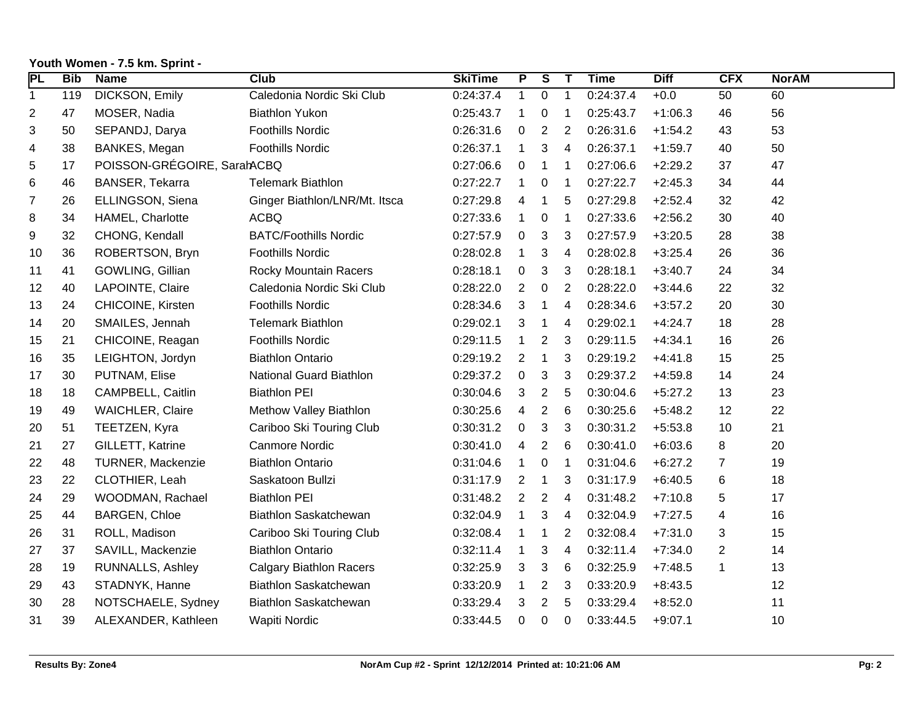| PL             | <b>Bib</b> | <b>Name</b>                 | Club                           | <b>SkiTime</b> | $\overline{P}$ | $\overline{\mathbf{s}}$ | $\mathbf{T}$             | <b>Time</b> | <b>Diff</b> | <b>CFX</b>     | <b>NorAM</b> |
|----------------|------------|-----------------------------|--------------------------------|----------------|----------------|-------------------------|--------------------------|-------------|-------------|----------------|--------------|
| $\mathbf 1$    | 119        | DICKSON, Emily              | Caledonia Nordic Ski Club      | 0:24:37.4      | $\mathbf{1}$   | $\mathbf 0$             | $\mathbf{1}$             | 0:24:37.4   | $+0.0$      | 50             | 60           |
| 2              | 47         | MOSER, Nadia                | <b>Biathlon Yukon</b>          | 0:25:43.7      | $\mathbf{1}$   | 0                       | 1                        | 0:25:43.7   | $+1:06.3$   | 46             | 56           |
| 3              | 50         | SEPANDJ, Darya              | <b>Foothills Nordic</b>        | 0:26:31.6      | 0              | 2                       | 2                        | 0:26:31.6   | $+1:54.2$   | 43             | 53           |
| 4              | 38         | BANKES, Megan               | <b>Foothills Nordic</b>        | 0:26:37.1      | $\mathbf{1}$   | 3                       | 4                        | 0:26:37.1   | $+1:59.7$   | 40             | 50           |
| 5              | 17         | POISSON-GRÉGOIRE, SarahACBQ |                                | 0:27:06.6      | 0              | 1                       | $\mathbf 1$              | 0:27:06.6   | $+2:29.2$   | 37             | 47           |
| 6              | 46         | BANSER, Tekarra             | <b>Telemark Biathlon</b>       | 0:27:22.7      | 1              | 0                       | $\mathbf 1$              | 0:27:22.7   | $+2:45.3$   | 34             | 44           |
| $\overline{7}$ | 26         | ELLINGSON, Siena            | Ginger Biathlon/LNR/Mt. Itsca  | 0:27:29.8      | 4              | 1                       | 5                        | 0:27:29.8   | $+2:52.4$   | 32             | 42           |
| 8              | 34         | HAMEL, Charlotte            | <b>ACBQ</b>                    | 0:27:33.6      | $\mathbf{1}$   | 0                       | $\mathbf{1}$             | 0:27:33.6   | $+2:56.2$   | 30             | 40           |
| 9              | 32         | CHONG, Kendall              | <b>BATC/Foothills Nordic</b>   | 0:27:57.9      | 0              | 3                       | 3                        | 0:27:57.9   | $+3:20.5$   | 28             | 38           |
| 10             | 36         | ROBERTSON, Bryn             | <b>Foothills Nordic</b>        | 0:28:02.8      | $\mathbf 1$    | 3                       | $\overline{\mathcal{A}}$ | 0:28:02.8   | $+3:25.4$   | 26             | 36           |
| 11             | 41         | GOWLING, Gillian            | <b>Rocky Mountain Racers</b>   | 0:28:18.1      | 0              | 3                       | 3                        | 0:28:18.1   | $+3:40.7$   | 24             | 34           |
| 12             | 40         | LAPOINTE, Claire            | Caledonia Nordic Ski Club      | 0:28:22.0      | $\overline{2}$ | $\mathbf 0$             | 2                        | 0:28:22.0   | $+3:44.6$   | 22             | 32           |
| 13             | 24         | CHICOINE, Kirsten           | <b>Foothills Nordic</b>        | 0:28:34.6      | 3              | 1                       | 4                        | 0:28:34.6   | $+3:57.2$   | 20             | 30           |
| 14             | 20         | SMAILES, Jennah             | <b>Telemark Biathlon</b>       | 0:29:02.1      | 3              | $\mathbf{1}$            | 4                        | 0:29:02.1   | $+4:24.7$   | 18             | 28           |
| 15             | 21         | CHICOINE, Reagan            | <b>Foothills Nordic</b>        | 0:29:11.5      | $\mathbf{1}$   | 2                       | 3                        | 0:29:11.5   | $+4:34.1$   | 16             | 26           |
| 16             | 35         | LEIGHTON, Jordyn            | <b>Biathlon Ontario</b>        | 0:29:19.2      | 2              | $\mathbf 1$             | 3                        | 0:29:19.2   | $+4:41.8$   | 15             | 25           |
| 17             | 30         | PUTNAM, Elise               | <b>National Guard Biathlon</b> | 0:29:37.2      | 0              | 3                       | 3                        | 0:29:37.2   | $+4:59.8$   | 14             | 24           |
| 18             | 18         | CAMPBELL, Caitlin           | <b>Biathlon PEI</b>            | 0:30:04.6      | 3              | 2                       | 5                        | 0:30:04.6   | $+5:27.2$   | 13             | 23           |
| 19             | 49         | <b>WAICHLER, Claire</b>     | Methow Valley Biathlon         | 0:30:25.6      | 4              | $\overline{2}$          | 6                        | 0:30:25.6   | $+5:48.2$   | 12             | 22           |
| 20             | 51         | TEETZEN, Kyra               | Cariboo Ski Touring Club       | 0:30:31.2      | 0              | 3                       | 3                        | 0:30:31.2   | $+5:53.8$   | 10             | 21           |
| 21             | 27         | GILLETT, Katrine            | <b>Canmore Nordic</b>          | 0:30:41.0      | 4              | $\overline{c}$          | 6                        | 0:30:41.0   | $+6:03.6$   | 8              | 20           |
| 22             | 48         | TURNER, Mackenzie           | <b>Biathlon Ontario</b>        | 0:31:04.6      | $\mathbf 1$    | 0                       | $\mathbf 1$              | 0:31:04.6   | $+6:27.2$   | 7              | 19           |
| 23             | 22         | CLOTHIER, Leah              | Saskatoon Bullzi               | 0:31:17.9      | $\overline{2}$ | $\mathbf 1$             | 3                        | 0:31:17.9   | $+6:40.5$   | $\,6$          | 18           |
| 24             | 29         | WOODMAN, Rachael            | <b>Biathlon PEI</b>            | 0:31:48.2      | $\overline{2}$ | 2                       | 4                        | 0:31:48.2   | $+7:10.8$   | 5              | 17           |
| 25             | 44         | <b>BARGEN, Chloe</b>        | Biathlon Saskatchewan          | 0:32:04.9      | $\mathbf{1}$   | 3                       | 4                        | 0:32:04.9   | $+7:27.5$   | 4              | 16           |
| 26             | 31         | ROLL, Madison               | Cariboo Ski Touring Club       | 0:32:08.4      | 1              | 1                       | 2                        | 0:32:08.4   | $+7:31.0$   | 3              | 15           |
| 27             | 37         | SAVILL, Mackenzie           | <b>Biathlon Ontario</b>        | 0:32:11.4      | $\mathbf{1}$   | 3                       | $\overline{4}$           | 0:32:11.4   | $+7:34.0$   | $\overline{c}$ | 14           |
| 28             | 19         | <b>RUNNALLS, Ashley</b>     | <b>Calgary Biathlon Racers</b> | 0:32:25.9      | 3              | 3                       | 6                        | 0:32:25.9   | $+7:48.5$   | $\mathbf 1$    | 13           |
| 29             | 43         | STADNYK, Hanne              | Biathlon Saskatchewan          | 0:33:20.9      | $\mathbf 1$    | 2                       | 3                        | 0:33:20.9   | $+8:43.5$   |                | 12           |
| 30             | 28         | NOTSCHAELE, Sydney          | <b>Biathlon Saskatchewan</b>   | 0:33:29.4      | 3              | $\overline{\mathbf{c}}$ | 5                        | 0:33:29.4   | $+8:52.0$   |                | 11           |
| 31             | 39         | ALEXANDER, Kathleen         | Wapiti Nordic                  | 0:33:44.5      | 0              | 0                       | $\mathbf 0$              | 0:33:44.5   | $+9:07.1$   |                | 10           |

# **Youth Women - 7.5 km. Sprint -**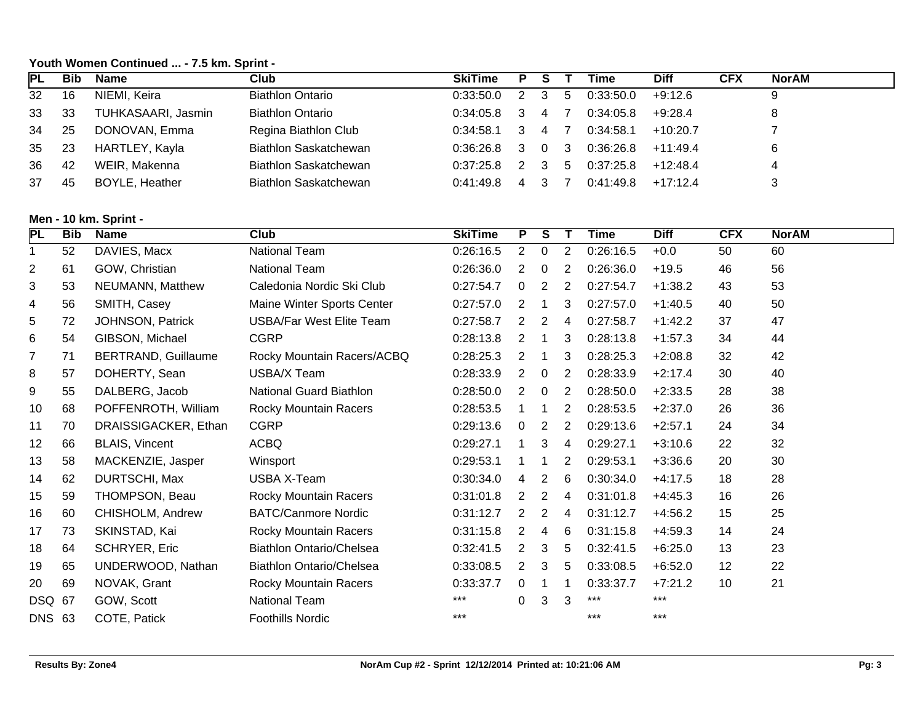### **Youth Women Continued ... - 7.5 km. Sprint -**

| <b>IPL</b> | <b>Bib</b> | Name               | Club                         | <b>SkiTime</b> | P | s |    | Time      | <b>Diff</b> | <b>CFX</b> | <b>NorAM</b> |
|------------|------------|--------------------|------------------------------|----------------|---|---|----|-----------|-------------|------------|--------------|
| 32         | 16         | NIEMI, Keira       | <b>Biathlon Ontario</b>      | 0.33:50.0      |   |   | 5  | 0:33:50.0 | $+9:12.6$   |            | 9            |
| 33         | 33         | TUHKASAARI, Jasmin | <b>Biathlon Ontario</b>      | 0:34:05.8      |   | 4 |    | 0:34:05.8 | $+9:28.4$   |            | 8            |
| 34         | 25         | DONOVAN, Emma      | Regina Biathlon Club         | 0:34:58.1      |   | 4 |    | 0:34:58.1 | $+10:20.7$  |            |              |
| 35         | 23         | HARTLEY, Kayla     | Biathlon Saskatchewan        | 0:36:26.8      |   | 0 | -3 | 0:36:26.8 | $+11.49.4$  |            | 6            |
| 36         | 42         | WEIR, Makenna      | <b>Biathlon Saskatchewan</b> | 0:37:25.8      |   |   | -5 | 0:37:25.8 | $+12:48.4$  |            | 4            |
| 37         | 45         | BOYLE, Heather     | Biathlon Saskatchewan        | 0.41.49.8      | 4 |   |    | 0:41:49.8 | $+17:12.4$  |            |              |

### **Men - 10 km. Sprint -**

| PL             | <b>Bib</b> | <b>Name</b>                | <b>Club</b>                     | <b>SkiTime</b> | P.             | S.             |   | <b>Time</b> | <b>Diff</b> | <b>CFX</b> | <b>NorAM</b> |
|----------------|------------|----------------------------|---------------------------------|----------------|----------------|----------------|---|-------------|-------------|------------|--------------|
| 1              | 52         | DAVIES, Macx               | National Team                   | 0:26:16.5      | $\overline{2}$ | 0              | 2 | 0:26:16.5   | $+0.0$      | 50         | 60           |
| $\overline{c}$ | 61         | GOW, Christian             | National Team                   | 0:26:36.0      | 2              | 0              | 2 | 0:26:36.0   | $+19.5$     | 46         | 56           |
| 3              | 53         | NEUMANN, Matthew           | Caledonia Nordic Ski Club       | 0:27:54.7      | 0              | 2              | 2 | 0:27:54.7   | $+1:38.2$   | 43         | 53           |
| 4              | 56         | SMITH, Casey               | Maine Winter Sports Center      | 0:27:57.0      | 2              |                | 3 | 0:27:57.0   | $+1:40.5$   | 40         | 50           |
| 5              | 72         | JOHNSON, Patrick           | USBA/Far West Elite Team        | 0:27:58.7      | 2              | 2              | 4 | 0:27:58.7   | $+1:42.2$   | 37         | 47           |
| 6              | 54         | GIBSON, Michael            | <b>CGRP</b>                     | 0:28:13.8      | 2              |                | 3 | 0:28:13.8   | $+1:57.3$   | 34         | 44           |
| $\overline{7}$ | 71         | <b>BERTRAND, Guillaume</b> | Rocky Mountain Racers/ACBQ      | 0:28:25.3      | 2              | 1              | 3 | 0:28:25.3   | $+2:08.8$   | 32         | 42           |
| 8              | 57         | DOHERTY, Sean              | USBA/X Team                     | 0:28:33.9      | 2              | 0              | 2 | 0:28:33.9   | $+2:17.4$   | 30         | 40           |
| 9              | 55         | DALBERG, Jacob             | <b>National Guard Biathlon</b>  | 0:28:50.0      | 2              | 0              | 2 | 0:28:50.0   | $+2:33.5$   | 28         | 38           |
| 10             | 68         | POFFENROTH, William        | <b>Rocky Mountain Racers</b>    | 0:28:53.5      |                | 1              | 2 | 0:28:53.5   | $+2:37.0$   | 26         | 36           |
| 11             | 70         | DRAISSIGACKER, Ethan       | <b>CGRP</b>                     | 0:29:13.6      | 0              | $\overline{2}$ | 2 | 0:29:13.6   | $+2:57.1$   | 24         | 34           |
| 12             | 66         | <b>BLAIS, Vincent</b>      | <b>ACBQ</b>                     | 0:29:27.1      |                | 3              | 4 | 0:29:27.1   | $+3:10.6$   | 22         | 32           |
| 13             | 58         | MACKENZIE, Jasper          | Winsport                        | 0:29:53.1      |                |                | 2 | 0:29:53.1   | $+3:36.6$   | 20         | 30           |
| 14             | 62         | DURTSCHI, Max              | USBA X-Team                     | 0:30:34.0      | 4              | 2              | 6 | 0:30:34.0   | $+4:17.5$   | 18         | 28           |
| 15             | 59         | THOMPSON, Beau             | Rocky Mountain Racers           | 0:31:01.8      | 2              | $\overline{2}$ | 4 | 0:31:01.8   | $+4:45.3$   | 16         | 26           |
| 16             | 60         | CHISHOLM, Andrew           | <b>BATC/Canmore Nordic</b>      | 0:31:12.7      | 2              | 2              | 4 | 0:31:12.7   | $+4:56.2$   | 15         | 25           |
| 17             | 73         | SKINSTAD, Kai              | <b>Rocky Mountain Racers</b>    | 0:31:15.8      | 2              | 4              | 6 | 0:31:15.8   | $+4:59.3$   | 14         | 24           |
| 18             | 64         | <b>SCHRYER, Eric</b>       | <b>Biathlon Ontario/Chelsea</b> | 0:32:41.5      | $\overline{2}$ | 3              | 5 | 0:32:41.5   | $+6:25.0$   | 13         | 23           |
| 19             | 65         | UNDERWOOD, Nathan          | <b>Biathlon Ontario/Chelsea</b> | 0:33:08.5      | 2              | 3              | 5 | 0:33:08.5   | $+6:52.0$   | 12         | 22           |
| 20             | 69         | NOVAK, Grant               | Rocky Mountain Racers           | 0:33:37.7      | 0              |                |   | 0:33:37.7   | $+7:21.2$   | 10         | 21           |
| <b>DSQ</b>     | 67         | GOW, Scott                 | <b>National Team</b>            | ***            | 0              | 3              | 3 |             | ***         |            |              |
| <b>DNS 63</b>  |            | COTE, Patick               | Foothills Nordic                | $***$          |                |                |   | $***$       | $***$       |            |              |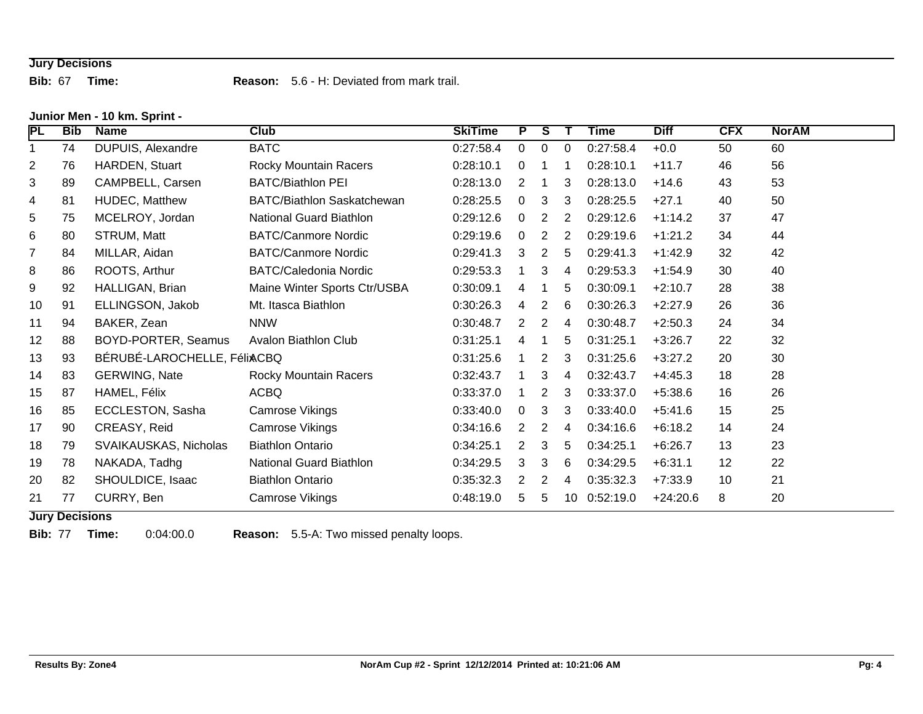# **Jury Decisions**

**Bib:** 67 **Time: Reason:** 5.6 - H: Deviated from mark trail.

#### **Junior Men - 10 km. Sprint -**

| PL             | <b>Bib</b> | <b>Name</b>                 | Club                              | <b>SkiTime</b> | P        | S | Т  | Time      | <b>Diff</b> | <b>CFX</b> | <b>NorAM</b> |
|----------------|------------|-----------------------------|-----------------------------------|----------------|----------|---|----|-----------|-------------|------------|--------------|
| 1              | 74         | <b>DUPUIS, Alexandre</b>    | <b>BATC</b>                       | 0:27:58.4      | 0        | 0 | 0  | 0:27:58.4 | $+0.0$      | 50         | 60           |
| $\overline{2}$ | 76         | HARDEN, Stuart              | <b>Rocky Mountain Racers</b>      | 0:28:10.1      | 0        | 1 |    | 0:28:10.1 | $+11.7$     | 46         | 56           |
| 3              | 89         | CAMPBELL, Carsen            | <b>BATC/Biathlon PEI</b>          | 0:28:13.0      | 2        | 1 | 3  | 0:28:13.0 | $+14.6$     | 43         | 53           |
| 4              | 81         | HUDEC, Matthew              | <b>BATC/Biathlon Saskatchewan</b> | 0:28:25.5      | $\Omega$ | 3 | 3  | 0:28:25.5 | $+27.1$     | 40         | 50           |
| 5              | 75         | MCELROY, Jordan             | National Guard Biathlon           | 0:29:12.6      | 0        | 2 | 2  | 0:29:12.6 | $+1:14.2$   | 37         | 47           |
| 6              | 80         | STRUM, Matt                 | <b>BATC/Canmore Nordic</b>        | 0:29:19.6      | 0        | 2 | 2  | 0:29:19.6 | $+1:21.2$   | 34         | 44           |
| $\overline{7}$ | 84         | MILLAR, Aidan               | <b>BATC/Canmore Nordic</b>        | 0:29:41.3      | 3        | 2 | 5  | 0:29:41.3 | $+1:42.9$   | 32         | 42           |
| 8              | 86         | ROOTS, Arthur               | <b>BATC/Caledonia Nordic</b>      | 0:29:53.3      |          | 3 | 4  | 0:29:53.3 | $+1:54.9$   | 30         | 40           |
| 9              | 92         | HALLIGAN, Brian             | Maine Winter Sports Ctr/USBA      | 0:30:09.1      | 4        | 1 | 5  | 0:30:09.1 | $+2:10.7$   | 28         | 38           |
| 10             | 91         | ELLINGSON, Jakob            | Mt. Itasca Biathlon               | 0:30:26.3      | 4        | 2 | 6  | 0:30:26.3 | $+2:27.9$   | 26         | 36           |
| 11             | 94         | BAKER, Zean                 | <b>NNW</b>                        | 0:30:48.7      | 2        | 2 | 4  | 0:30:48.7 | $+2:50.3$   | 24         | 34           |
| 12             | 88         | BOYD-PORTER, Seamus         | Avalon Biathlon Club              | 0:31:25.1      | 4        | 1 | 5  | 0:31:25.1 | $+3:26.7$   | 22         | 32           |
| 13             | 93         | BÉRUBÉ-LAROCHELLE, FéliACBQ |                                   | 0:31:25.6      |          | 2 | 3  | 0:31:25.6 | $+3:27.2$   | 20         | 30           |
| 14             | 83         | <b>GERWING, Nate</b>        | Rocky Mountain Racers             | 0:32:43.7      |          | 3 | 4  | 0:32:43.7 | $+4:45.3$   | 18         | 28           |
| 15             | 87         | HAMEL, Félix                | ACBQ                              | 0:33:37.0      |          | 2 | 3  | 0:33:37.0 | $+5:38.6$   | 16         | 26           |
| 16             | 85         | <b>ECCLESTON, Sasha</b>     | Camrose Vikings                   | 0:33:40.0      | 0        | 3 | 3  | 0:33:40.0 | $+5:41.6$   | 15         | 25           |
| 17             | 90         | CREASY, Reid                | <b>Camrose Vikings</b>            | 0:34:16.6      | 2        | 2 | 4  | 0:34:16.6 | $+6:18.2$   | 14         | 24           |
| 18             | 79         | SVAIKAUSKAS, Nicholas       | <b>Biathlon Ontario</b>           | 0:34:25.1      | 2        | 3 | 5  | 0:34:25.1 | $+6:26.7$   | 13         | 23           |
| 19             | 78         | NAKADA, Tadhg               | National Guard Biathlon           | 0:34:29.5      | 3        | 3 | 6  | 0:34:29.5 | $+6:31.1$   | 12         | 22           |
| 20             | 82         | SHOULDICE, Isaac            | <b>Biathlon Ontario</b>           | 0:35:32.3      | 2        | 2 | 4  | 0:35:32.3 | $+7:33.9$   | 10         | 21           |
| 21             | 77         | CURRY, Ben                  | Camrose Vikings                   | 0:48:19.0      | 5        | 5 | 10 | 0:52:19.0 | $+24:20.6$  | 8          | 20           |

#### **Jury Decisions**

**Bib:** 77 **Time:** 0:04:00.0 **Reason:** 5.5-A: Two missed penalty loops.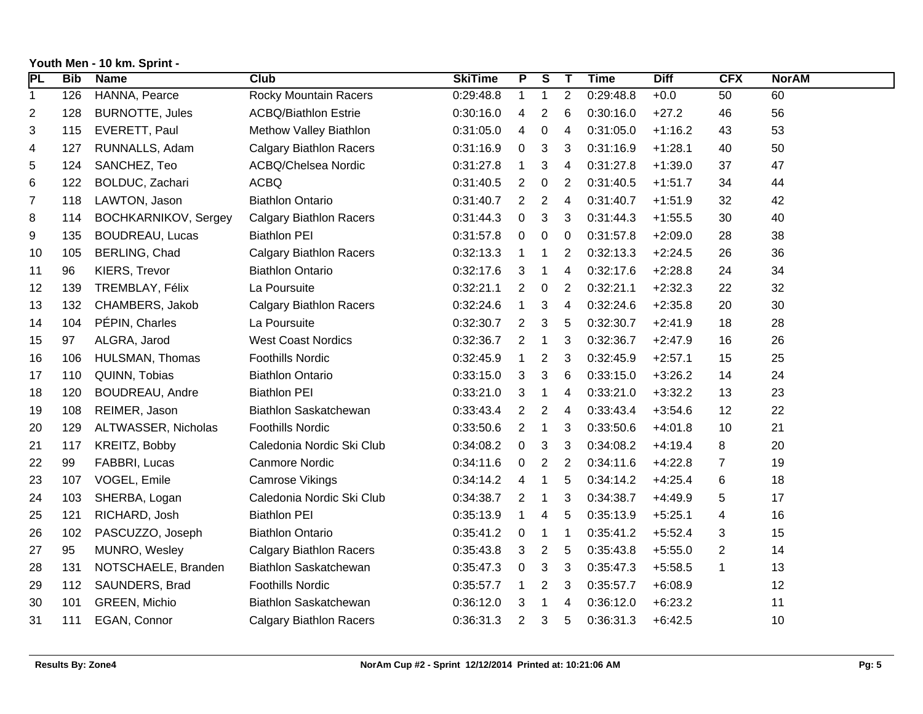| <b>PL</b>      | <b>Bib</b> | <b>Name</b>                 | <b>Club</b>                    | <b>SkiTime</b> | $\overline{P}$ | $\overline{\mathbf{s}}$ | $\mathbf{T}$   | <b>Time</b> | <b>Diff</b> | <b>CFX</b>     | <b>NorAM</b> |
|----------------|------------|-----------------------------|--------------------------------|----------------|----------------|-------------------------|----------------|-------------|-------------|----------------|--------------|
| 1              | 126        | HANNA, Pearce               | <b>Rocky Mountain Racers</b>   | 0:29:48.8      | 1              | $\mathbf{1}$            | $\overline{2}$ | 0:29:48.8   | $+0.0$      | 50             | 60           |
| 2              | 128        | <b>BURNOTTE, Jules</b>      | <b>ACBQ/Biathlon Estrie</b>    | 0:30:16.0      | 4              | 2                       | 6              | 0:30:16.0   | $+27.2$     | 46             | 56           |
| 3              | 115        | EVERETT, Paul               | Methow Valley Biathlon         | 0:31:05.0      | 4              | 0                       | 4              | 0:31:05.0   | $+1:16.2$   | 43             | 53           |
| 4              | 127        | RUNNALLS, Adam              | <b>Calgary Biathlon Racers</b> | 0:31:16.9      | 0              | 3                       | 3              | 0:31:16.9   | $+1:28.1$   | 40             | 50           |
| 5              | 124        | SANCHEZ, Teo                | ACBQ/Chelsea Nordic            | 0:31:27.8      | $\mathbf{1}$   | 3                       | 4              | 0:31:27.8   | $+1:39.0$   | 37             | 47           |
| 6              | 122        | BOLDUC, Zachari             | <b>ACBQ</b>                    | 0:31:40.5      | 2              | $\mathbf 0$             | $\overline{2}$ | 0:31:40.5   | $+1:51.7$   | 34             | 44           |
| $\overline{7}$ | 118        | LAWTON, Jason               | <b>Biathlon Ontario</b>        | 0:31:40.7      | $\overline{2}$ | $\overline{2}$          | 4              | 0:31:40.7   | $+1:51.9$   | 32             | 42           |
| 8              | 114        | <b>BOCHKARNIKOV, Sergey</b> | <b>Calgary Biathlon Racers</b> | 0:31:44.3      | $\mathbf 0$    | 3                       | 3              | 0:31:44.3   | $+1:55.5$   | 30             | 40           |
| 9              | 135        | <b>BOUDREAU, Lucas</b>      | <b>Biathlon PEI</b>            | 0:31:57.8      | 0              | 0                       | 0              | 0:31:57.8   | $+2:09.0$   | 28             | 38           |
| 10             | 105        | BERLING, Chad               | <b>Calgary Biathlon Racers</b> | 0:32:13.3      | $\mathbf{1}$   | 1                       | $\overline{2}$ | 0:32:13.3   | $+2:24.5$   | 26             | 36           |
| 11             | 96         | KIERS, Trevor               | <b>Biathlon Ontario</b>        | 0:32:17.6      | 3              | $\mathbf{1}$            | 4              | 0:32:17.6   | $+2:28.8$   | 24             | 34           |
| 12             | 139        | TREMBLAY, Félix             | La Poursuite                   | 0:32:21.1      | $\overline{2}$ | $\mathbf 0$             | $\overline{2}$ | 0:32:21.1   | $+2:32.3$   | 22             | 32           |
| 13             | 132        | CHAMBERS, Jakob             | <b>Calgary Biathlon Racers</b> | 0:32:24.6      | $\mathbf{1}$   | 3                       | 4              | 0:32:24.6   | $+2:35.8$   | 20             | 30           |
| 14             | 104        | PÉPIN, Charles              | La Poursuite                   | 0:32:30.7      | $\overline{2}$ | 3                       | 5              | 0:32:30.7   | $+2:41.9$   | 18             | 28           |
| 15             | 97         | ALGRA, Jarod                | <b>West Coast Nordics</b>      | 0:32:36.7      | 2              | 1                       | 3              | 0:32:36.7   | $+2:47.9$   | 16             | 26           |
| 16             | 106        | HULSMAN, Thomas             | <b>Foothills Nordic</b>        | 0:32:45.9      | 1              | $\overline{c}$          | 3              | 0:32:45.9   | $+2:57.1$   | 15             | 25           |
| 17             | 110        | QUINN, Tobias               | <b>Biathlon Ontario</b>        | 0:33:15.0      | 3              | 3                       | 6              | 0:33:15.0   | $+3:26.2$   | 14             | 24           |
| 18             | 120        | <b>BOUDREAU, Andre</b>      | <b>Biathlon PEI</b>            | 0:33:21.0      | 3              | 1                       | 4              | 0:33:21.0   | $+3:32.2$   | 13             | 23           |
| 19             | 108        | REIMER, Jason               | Biathlon Saskatchewan          | 0:33:43.4      | $\overline{2}$ | $\overline{2}$          | 4              | 0:33:43.4   | $+3:54.6$   | 12             | 22           |
| 20             | 129        | ALTWASSER, Nicholas         | <b>Foothills Nordic</b>        | 0:33:50.6      | $\overline{2}$ | 1                       | 3              | 0:33:50.6   | $+4:01.8$   | 10             | 21           |
| 21             | 117        | KREITZ, Bobby               | Caledonia Nordic Ski Club      | 0:34:08.2      | 0              | 3                       | 3              | 0:34:08.2   | $+4:19.4$   | 8              | 20           |
| 22             | 99         | FABBRI, Lucas               | <b>Canmore Nordic</b>          | 0:34:11.6      | 0              | 2                       | 2              | 0:34:11.6   | $+4:22.8$   | 7              | 19           |
| 23             | 107        | VOGEL, Emile                | Camrose Vikings                | 0:34:14.2      | 4              | $\mathbf{1}$            | 5              | 0:34:14.2   | $+4:25.4$   | 6              | 18           |
| 24             | 103        | SHERBA, Logan               | Caledonia Nordic Ski Club      | 0:34:38.7      | 2              | 1                       | 3              | 0:34:38.7   | $+4:49.9$   | 5              | 17           |
| 25             | 121        | RICHARD, Josh               | <b>Biathlon PEI</b>            | 0:35:13.9      | 1              | 4                       | 5              | 0:35:13.9   | $+5:25.1$   | 4              | 16           |
| 26             | 102        | PASCUZZO, Joseph            | <b>Biathlon Ontario</b>        | 0:35:41.2      | 0              | 1                       | $\mathbf 1$    | 0:35:41.2   | $+5:52.4$   | 3              | 15           |
| 27             | 95         | MUNRO, Wesley               | <b>Calgary Biathlon Racers</b> | 0:35:43.8      | 3              | $\overline{c}$          | 5              | 0:35:43.8   | $+5:55.0$   | $\overline{2}$ | 14           |
| 28             | 131        | NOTSCHAELE, Branden         | <b>Biathlon Saskatchewan</b>   | 0:35:47.3      | 0              | 3                       | 3              | 0:35:47.3   | $+5:58.5$   | $\mathbf 1$    | 13           |
| 29             | 112        | SAUNDERS, Brad              | <b>Foothills Nordic</b>        | 0:35:57.7      | $\mathbf 1$    | 2                       | 3              | 0:35:57.7   | $+6:08.9$   |                | 12           |
| 30             | 101        | GREEN, Michio               | Biathlon Saskatchewan          | 0:36:12.0      | 3              | 1                       | 4              | 0:36:12.0   | $+6:23.2$   |                | 11           |
| 31             | 111        | EGAN, Connor                | <b>Calgary Biathlon Racers</b> | 0:36:31.3      | $\mathbf{2}$   | 3                       | 5              | 0:36:31.3   | $+6:42.5$   |                | 10           |

# **Youth Men - 10 km. Sprint -**